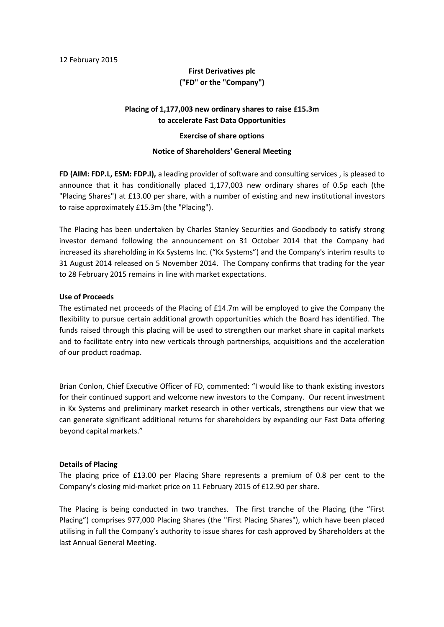# **First Derivatives plc ("FD" or the "Company")**

## **Placing of 1,177,003 new ordinary shares to raise £15.3m to accelerate Fast Data Opportunities**

#### **Exercise of share options**

#### **Notice of Shareholders' General Meeting**

**FD (AIM: FDP.L, ESM: FDP.I),** a leading provider of software and consulting services , is pleased to announce that it has conditionally placed 1,177,003 new ordinary shares of 0.5p each (the "Placing Shares") at £13.00 per share, with a number of existing and new institutional investors to raise approximately £15.3m (the "Placing").

The Placing has been undertaken by Charles Stanley Securities and Goodbody to satisfy strong investor demand following the announcement on 31 October 2014 that the Company had increased its shareholding in Kx Systems Inc. ("Kx Systems") and the Company's interim results to 31 August 2014 released on 5 November 2014. The Company confirms that trading for the year to 28 February 2015 remains in line with market expectations.

#### **Use of Proceeds**

The estimated net proceeds of the Placing of £14.7m will be employed to give the Company the flexibility to pursue certain additional growth opportunities which the Board has identified. The funds raised through this placing will be used to strengthen our market share in capital markets and to facilitate entry into new verticals through partnerships, acquisitions and the acceleration of our product roadmap.

Brian Conlon, Chief Executive Officer of FD, commented: "I would like to thank existing investors for their continued support and welcome new investors to the Company. Our recent investment in Kx Systems and preliminary market research in other verticals, strengthens our view that we can generate significant additional returns for shareholders by expanding our Fast Data offering beyond capital markets."

## **Details of Placing**

The placing price of £13.00 per Placing Share represents a premium of 0.8 per cent to the Company's closing mid-market price on 11 February 2015 of £12.90 per share.

The Placing is being conducted in two tranches. The first tranche of the Placing (the "First Placing") comprises 977,000 Placing Shares (the "First Placing Shares"), which have been placed utilising in full the Company's authority to issue shares for cash approved by Shareholders at the last Annual General Meeting.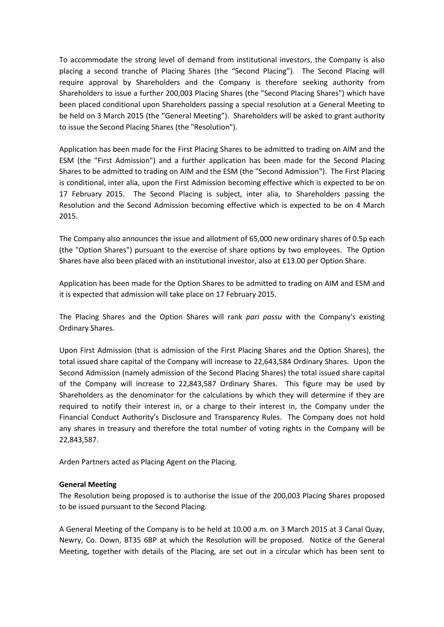To accommodate the strong level of demand from institutional investors, the Company is also placing a second tranche of Placing Shares (the "Second Placing"). The Second Placing will require approval by Shareholders and the Company is therefore seeking authority from Shareholders to issue a further 200,003 Placing Shares (the "Second Placing Shares") which have been placed conditional upon Shareholders passing a special resolution at a General Meeting to be held on 3 March 2015 (the "General Meeting"). Shareholders will be asked to grant authority to issue the Second Placing Shares (the "Resolution").

Application has been made for the First Placing Shares to be admitted to trading on AIM and the ESM (the "First Admission") and a further application has been made for the Second Placing Shares to be admitted to trading on AIM and the ESM (the "Second Admission"). The First Placing is conditional, inter alia, upon the First Admission becoming effective which is expected to be on 17 February 2015. The Second Placing is subject, inter alia, to Shareholders passing the Resolution and the Second Admission becoming effective which is expected to be on 4 March 2015.

The Company also announces the issue and allotment of 65,000 new ordinary shares of 0.5p each (the "Option Shares") pursuant to the exercise of share options by two employees. The Option Shares have also been placed with an institutional investor, also at £13.00 per Option Share.

Application has been made for the Option Shares to be admitted to trading on AIM and ESM and it is expected that admission will take place on 17 February 2015.

The Placing Shares and the Option Shares will rank *pari passu* with the Company's existing Ordinary Shares.

Upon First Admission (that is admission of the First Placing Shares and the Option Shares), the total issued share capital of the Company will increase to 22,643,584 Ordinary Shares. Upon the Second Admission (namely admission of the Second Placing Shares) the total issued share capital of the Company will increase to 22,843,587 Ordinary Shares. This figure may be used by Shareholders as the denominator for the calculations by which they will determine if they are required to notify their interest in, or a charge to their interest in, the Company under the Financial Conduct Authority's Disclosure and Transparency Rules. The Company does not hold any shares in treasury and therefore the total number of voting rights in the Company will be 22,843,587.

Arden Partners acted as Placing Agent on the Placing.

## **General Meeting**

The Resolution being proposed is to authorise the issue of the 200,003 Placing Shares proposed to be issued pursuant to the Second Placing.

A General Meeting of the Company is to be held at 10.00 a.m. on 3 March 2015 at 3 Canal Quay, Newry, Co. Down, BT35 6BP at which the Resolution will be proposed. Notice of the General Meeting, together with details of the Placing, are set out in a circular which has been sent to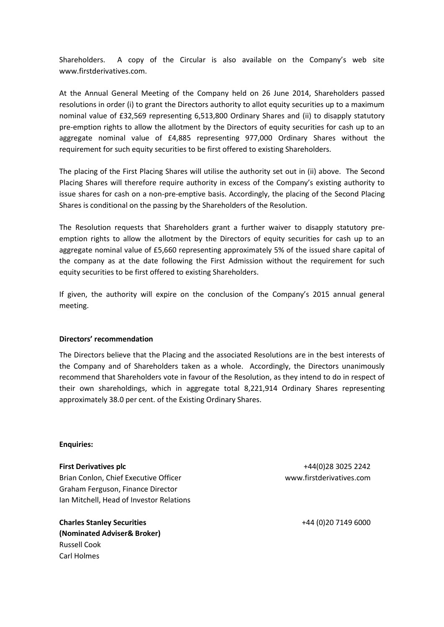Shareholders. A copy of the Circular is also available on the Company's web site www.firstderivatives.com.

At the Annual General Meeting of the Company held on 26 June 2014, Shareholders passed resolutions in order (i) to grant the Directors authority to allot equity securities up to a maximum nominal value of £32,569 representing 6,513,800 Ordinary Shares and (ii) to disapply statutory pre-emption rights to allow the allotment by the Directors of equity securities for cash up to an aggregate nominal value of £4,885 representing 977,000 Ordinary Shares without the requirement for such equity securities to be first offered to existing Shareholders.

The placing of the First Placing Shares will utilise the authority set out in (ii) above. The Second Placing Shares will therefore require authority in excess of the Company's existing authority to issue shares for cash on a non-pre-emptive basis. Accordingly, the placing of the Second Placing Shares is conditional on the passing by the Shareholders of the Resolution.

The Resolution requests that Shareholders grant a further waiver to disapply statutory preemption rights to allow the allotment by the Directors of equity securities for cash up to an aggregate nominal value of £5,660 representing approximately 5% of the issued share capital of the company as at the date following the First Admission without the requirement for such equity securities to be first offered to existing Shareholders.

If given, the authority will expire on the conclusion of the Company's 2015 annual general meeting.

## **Directors' recommendation**

The Directors believe that the Placing and the associated Resolutions are in the best interests of the Company and of Shareholders taken as a whole. Accordingly, the Directors unanimously recommend that Shareholders vote in favour of the Resolution, as they intend to do in respect of their own shareholdings, which in aggregate total 8,221,914 Ordinary Shares representing approximately 38.0 per cent. of the Existing Ordinary Shares.

#### **Enquiries:**

**First Derivatives plc** +44(0)28 3025 2242 Brian Conlon, Chief Executive Officer Graham Ferguson, Finance Director Ian Mitchell, Head of Investor Relations

**Charles Stanley Securities (Nominated Adviser& Broker)** Russell Cook Carl Holmes

www.firstderivatives.com

+44 (0)20 7149 6000